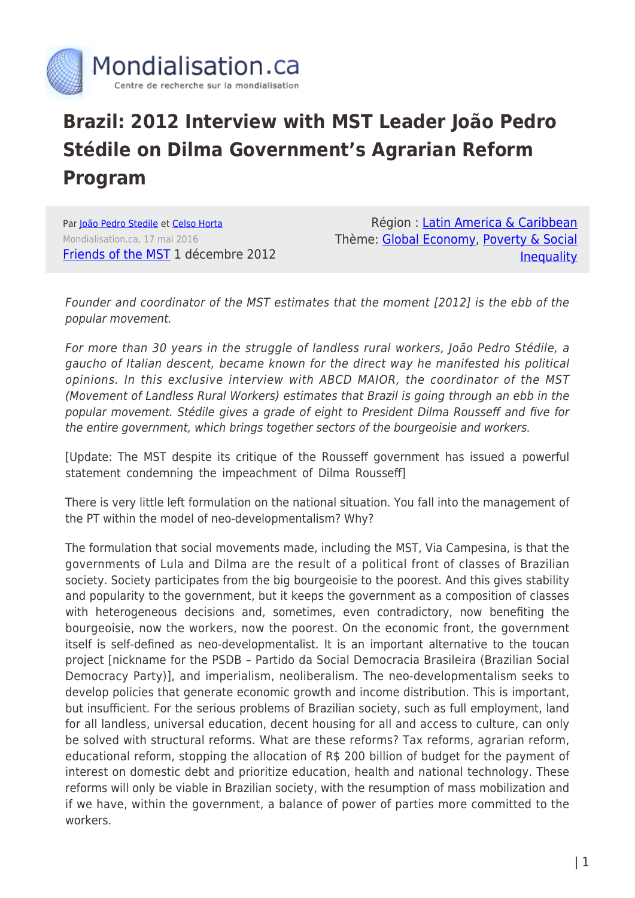

## **Brazil: 2012 Interview with MST Leader João Pedro Stédile on Dilma Government's Agrarian Reform Program**

Par [João Pedro Stedile](https://www.mondialisation.ca/author/jo-o-pedro-stedile) et [Celso Horta](https://www.mondialisation.ca/author/celso-horta) Mondialisation.ca, 17 mai 2016 [Friends of the MST](http://www.mstbrazil.org/content/st%C3%A9dile-rebukes-dilma-governments-agrarian-reform-program) 1 décembre 2012

Région : [Latin America & Caribbean](https://www.mondialisation.ca/region/latin-america-caribbean) Thème: [Global Economy](https://www.mondialisation.ca/theme/global-economy), [Poverty & Social](https://www.mondialisation.ca/theme/poverty-social-inequality) **[Inequality](https://www.mondialisation.ca/theme/poverty-social-inequality)** 

Founder and coordinator of the MST estimates that the moment [2012] is the ebb of the popular movement.

For more than 30 years in the struggle of landless rural workers, João Pedro Stédile, a gaucho of Italian descent, became known for the direct way he manifested his political opinions. In this exclusive interview with ABCD MAIOR, the coordinator of the MST (Movement of Landless Rural Workers) estimates that Brazil is going through an ebb in the popular movement. Stédile gives a grade of eight to President Dilma Rousseff and five for the entire government, which brings together sectors of the bourgeoisie and workers.

[Update: The MST despite its critique of the Rousseff government has issued a powerful statement condemning the impeachment of Dilma Rousseff]

There is very little left formulation on the national situation. You fall into the management of the PT within the model of neo-developmentalism? Why?

The formulation that social movements made, including the MST, Via Campesina, is that the governments of Lula and Dilma are the result of a political front of classes of Brazilian society. Society participates from the big bourgeoisie to the poorest. And this gives stability and popularity to the government, but it keeps the government as a composition of classes with heterogeneous decisions and, sometimes, even contradictory, now benefiting the bourgeoisie, now the workers, now the poorest. On the economic front, the government itself is self-defined as neo-developmentalist. It is an important alternative to the toucan project [nickname for the PSDB – Partido da Social Democracia Brasileira (Brazilian Social Democracy Party)], and imperialism, neoliberalism. The neo-developmentalism seeks to develop policies that generate economic growth and income distribution. This is important, but insufficient. For the serious problems of Brazilian society, such as full employment, land for all landless, universal education, decent housing for all and access to culture, can only be solved with structural reforms. What are these reforms? Tax reforms, agrarian reform, educational reform, stopping the allocation of R\$ 200 billion of budget for the payment of interest on domestic debt and prioritize education, health and national technology. These reforms will only be viable in Brazilian society, with the resumption of mass mobilization and if we have, within the government, a balance of power of parties more committed to the workers.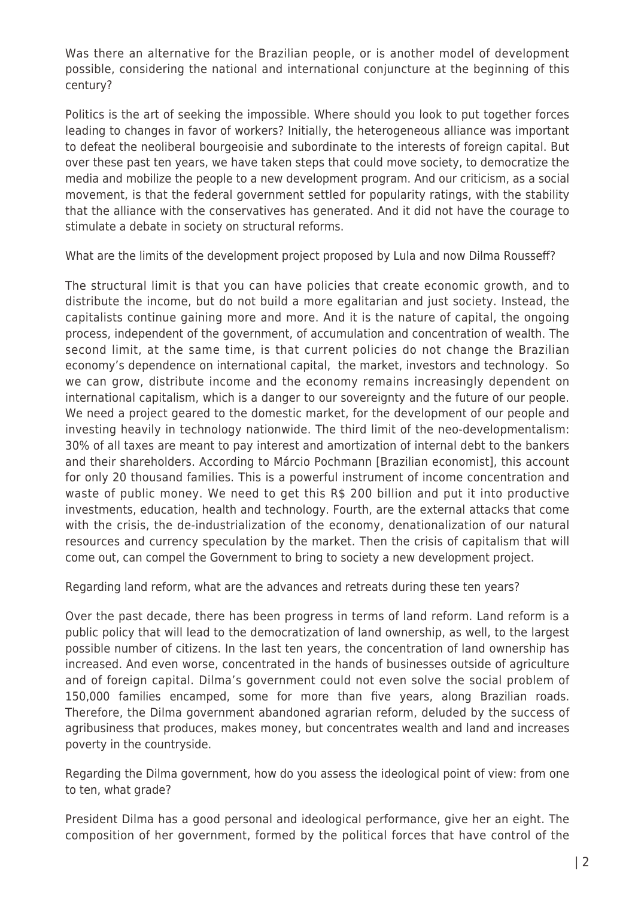Was there an alternative for the Brazilian people, or is another model of development possible, considering the national and international conjuncture at the beginning of this century?

Politics is the art of seeking the impossible. Where should you look to put together forces leading to changes in favor of workers? Initially, the heterogeneous alliance was important to defeat the neoliberal bourgeoisie and subordinate to the interests of foreign capital. But over these past ten years, we have taken steps that could move society, to democratize the media and mobilize the people to a new development program. And our criticism, as a social movement, is that the federal government settled for popularity ratings, with the stability that the alliance with the conservatives has generated. And it did not have the courage to stimulate a debate in society on structural reforms.

What are the limits of the development project proposed by Lula and now Dilma Rousseff?

The structural limit is that you can have policies that create economic growth, and to distribute the income, but do not build a more egalitarian and just society. Instead, the capitalists continue gaining more and more. And it is the nature of capital, the ongoing process, independent of the government, of accumulation and concentration of wealth. The second limit, at the same time, is that current policies do not change the Brazilian economy's dependence on international capital, the market, investors and technology. So we can grow, distribute income and the economy remains increasingly dependent on international capitalism, which is a danger to our sovereignty and the future of our people. We need a project geared to the domestic market, for the development of our people and investing heavily in technology nationwide. The third limit of the neo-developmentalism: 30% of all taxes are meant to pay interest and amortization of internal debt to the bankers and their shareholders. According to Márcio Pochmann [Brazilian economist], this account for only 20 thousand families. This is a powerful instrument of income concentration and waste of public money. We need to get this R\$ 200 billion and put it into productive investments, education, health and technology. Fourth, are the external attacks that come with the crisis, the de-industrialization of the economy, denationalization of our natural resources and currency speculation by the market. Then the crisis of capitalism that will come out, can compel the Government to bring to society a new development project.

Regarding land reform, what are the advances and retreats during these ten years?

Over the past decade, there has been progress in terms of land reform. Land reform is a public policy that will lead to the democratization of land ownership, as well, to the largest possible number of citizens. In the last ten years, the concentration of land ownership has increased. And even worse, concentrated in the hands of businesses outside of agriculture and of foreign capital. Dilma's government could not even solve the social problem of 150,000 families encamped, some for more than five years, along Brazilian roads. Therefore, the Dilma government abandoned agrarian reform, deluded by the success of agribusiness that produces, makes money, but concentrates wealth and land and increases poverty in the countryside.

Regarding the Dilma government, how do you assess the ideological point of view: from one to ten, what grade?

President Dilma has a good personal and ideological performance, give her an eight. The composition of her government, formed by the political forces that have control of the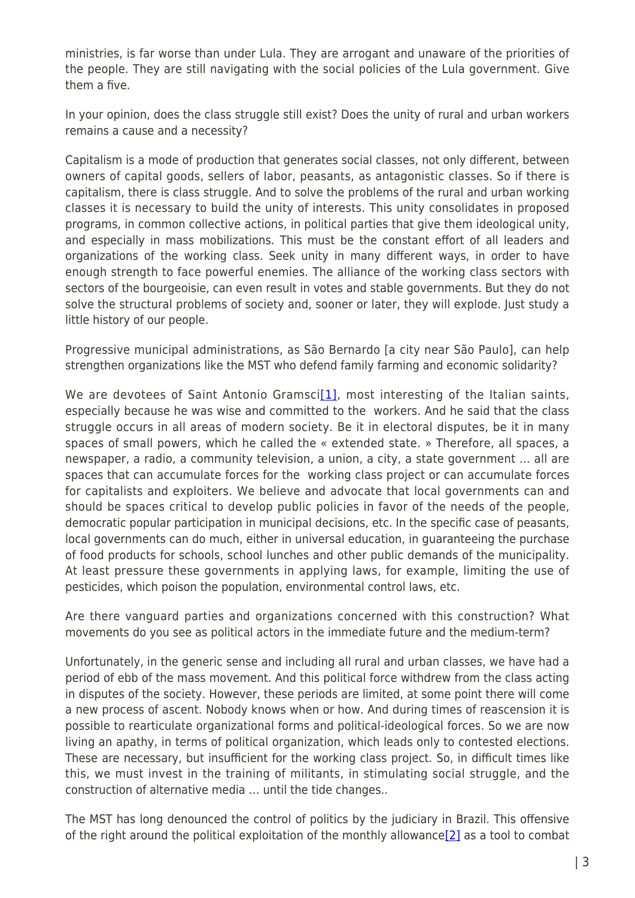ministries, is far worse than under Lula. They are arrogant and unaware of the priorities of the people. They are still navigating with the social policies of the Lula government. Give them a five.

In your opinion, does the class struggle still exist? Does the unity of rural and urban workers remains a cause and a necessity?

Capitalism is a mode of production that generates social classes, not only different, between owners of capital goods, sellers of labor, peasants, as antagonistic classes. So if there is capitalism, there is class struggle. And to solve the problems of the rural and urban working classes it is necessary to build the unity of interests. This unity consolidates in proposed programs, in common collective actions, in political parties that give them ideological unity, and especially in mass mobilizations. This must be the constant effort of all leaders and organizations of the working class. Seek unity in many different ways, in order to have enough strength to face powerful enemies. The alliance of the working class sectors with sectors of the bourgeoisie, can even result in votes and stable governments. But they do not solve the structural problems of society and, sooner or later, they will explode. Just study a little history of our people.

Progressive municipal administrations, as São Bernardo [a city near São Paulo], can help strengthen organizations like the MST who defend family farming and economic solidarity?

We are devotees of Saint Antonio Gramsci<sup>[\[1\]](http://www.mstbrazil.org/content/st%C3%A9dile-rebukes-dilma-governments-agrarian-reform-program#_edn1)</sup>, most interesting of the Italian saints, especially because he was wise and committed to the workers. And he said that the class struggle occurs in all areas of modern society. Be it in electoral disputes, be it in many spaces of small powers, which he called the « extended state. » Therefore, all spaces, a newspaper, a radio, a community television, a union, a city, a state government … all are spaces that can accumulate forces for the working class project or can accumulate forces for capitalists and exploiters. We believe and advocate that local governments can and should be spaces critical to develop public policies in favor of the needs of the people, democratic popular participation in municipal decisions, etc. In the specific case of peasants, local governments can do much, either in universal education, in guaranteeing the purchase of food products for schools, school lunches and other public demands of the municipality. At least pressure these governments in applying laws, for example, limiting the use of pesticides, which poison the population, environmental control laws, etc.

Are there vanguard parties and organizations concerned with this construction? What movements do you see as political actors in the immediate future and the medium-term?

Unfortunately, in the generic sense and including all rural and urban classes, we have had a period of ebb of the mass movement. And this political force withdrew from the class acting in disputes of the society. However, these periods are limited, at some point there will come a new process of ascent. Nobody knows when or how. And during times of reascension it is possible to rearticulate organizational forms and political-ideological forces. So we are now living an apathy, in terms of political organization, which leads only to contested elections. These are necessary, but insufficient for the working class project. So, in difficult times like this, we must invest in the training of militants, in stimulating social struggle, and the construction of alternative media … until the tide changes..

The MST has long denounced the control of politics by the judiciary in Brazil. This offensive of the right around the political exploitation of the monthly allowance $[2]$  as a tool to combat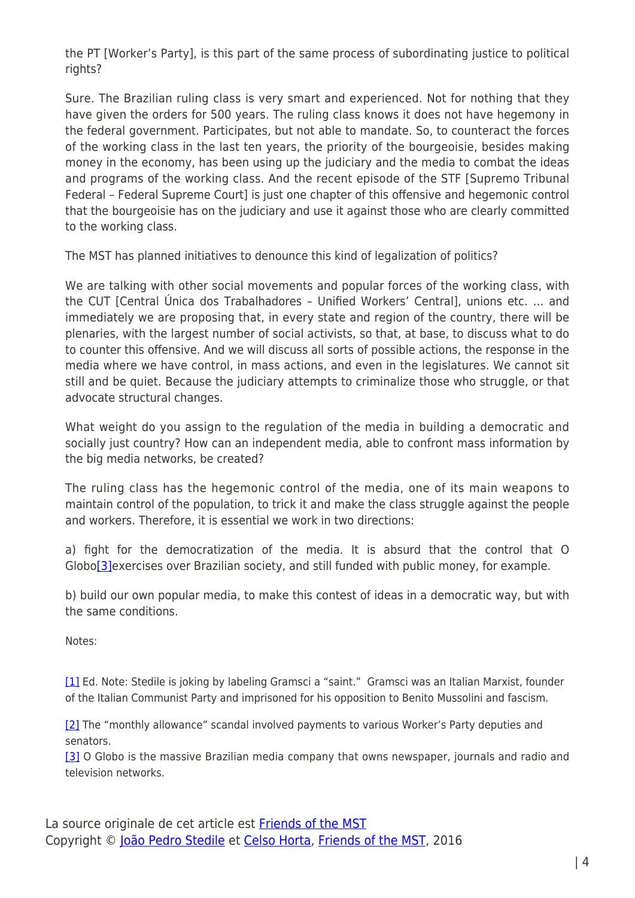the PT [Worker's Party], is this part of the same process of subordinating justice to political rights?

Sure. The Brazilian ruling class is very smart and experienced. Not for nothing that they have given the orders for 500 years. The ruling class knows it does not have hegemony in the federal government. Participates, but not able to mandate. So, to counteract the forces of the working class in the last ten years, the priority of the bourgeoisie, besides making money in the economy, has been using up the judiciary and the media to combat the ideas and programs of the working class. And the recent episode of the STF [Supremo Tribunal Federal – Federal Supreme Court] is just one chapter of this offensive and hegemonic control that the bourgeoisie has on the judiciary and use it against those who are clearly committed to the working class.

The MST has planned initiatives to denounce this kind of legalization of politics?

We are talking with other social movements and popular forces of the working class, with the CUT [Central Única dos Trabalhadores – Unified Workers' Central], unions etc. … and immediately we are proposing that, in every state and region of the country, there will be plenaries, with the largest number of social activists, so that, at base, to discuss what to do to counter this offensive. And we will discuss all sorts of possible actions, the response in the media where we have control, in mass actions, and even in the legislatures. We cannot sit still and be quiet. Because the judiciary attempts to criminalize those who struggle, or that advocate structural changes.

What weight do you assign to the regulation of the media in building a democratic and socially just country? How can an independent media, able to confront mass information by the big media networks, be created?

The ruling class has the hegemonic control of the media, one of its main weapons to maintain control of the population, to trick it and make the class struggle against the people and workers. Therefore, it is essential we work in two directions:

a) fight for the democratization of the media. It is absurd that the control that O Globo[\[3\]](http://www.mstbrazil.org/content/st%C3%A9dile-rebukes-dilma-governments-agrarian-reform-program#_edn3) exercises over Brazilian society, and still funded with public money, for example.

b) build our own popular media, to make this contest of ideas in a democratic way, but with the same conditions.

Notes:

[\[1\]](http://www.mstbrazil.org/content/st%C3%A9dile-rebukes-dilma-governments-agrarian-reform-program#_ednref1) Ed. Note: Stedile is joking by labeling Gramsci a "saint." Gramsci was an Italian Marxist, founder of the Italian Communist Party and imprisoned for his opposition to Benito Mussolini and fascism.

[\[2\]](http://www.mstbrazil.org/content/st%C3%A9dile-rebukes-dilma-governments-agrarian-reform-program#_ednref2) The "monthly allowance" scandal involved payments to various Worker's Party deputies and senators.

[\[3\]](http://www.mstbrazil.org/content/st%C3%A9dile-rebukes-dilma-governments-agrarian-reform-program#_ednref3) O Globo is the massive Brazilian media company that owns newspaper, journals and radio and television networks.

La source originale de cet article est [Friends of the MST](http://www.mstbrazil.org/content/st%C3%A9dile-rebukes-dilma-governments-agrarian-reform-program) Copyright © [João Pedro Stedile](https://www.mondialisation.ca/author/jo-o-pedro-stedile) et [Celso Horta,](https://www.mondialisation.ca/author/celso-horta) [Friends of the MST](http://www.mstbrazil.org/content/st%C3%A9dile-rebukes-dilma-governments-agrarian-reform-program), 2016